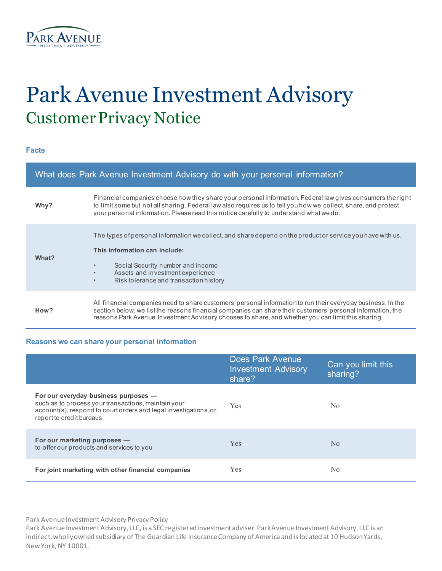

# Park Avenue Investment Advisory Customer Privacy Notice

**Facts**

| What does Park Avenue Investment Advisory do with your personal information? |                                                                                                                                                                                                                                                                                                                                  |  |
|------------------------------------------------------------------------------|----------------------------------------------------------------------------------------------------------------------------------------------------------------------------------------------------------------------------------------------------------------------------------------------------------------------------------|--|
| Why?                                                                         | Financial companies choose how they share your personal information. Federal law gives consumers the right<br>to limit some but not all sharing. Federal law also requires us to tell you how we collect, share, and protect<br>your personal information. Please read this notice carefully to understand what we do.           |  |
| What?                                                                        | The types of personal information we collect, and share depend on the product or service you have with us.<br>This information can include:<br>Social Security number and income<br>$\bullet$<br>Assets and investment experience<br>$\bullet$<br>Risk tolerance and transaction history<br>$\bullet$                            |  |
| How?                                                                         | All financial companies need to share customers' personal information to run their everyday business. In the<br>section below, we list the reasons financial companies can share their customers' personal information, the<br>reasons Park Avenue Investment Advisory chooses to share, and whether you can limit this sharing. |  |

### **Reasons we can share your personal information**

|                                                                                                                                                                                             | Does Park Avenue<br><b>Investment Advisory</b><br>share? | Can you limit this<br>sharing? |
|---------------------------------------------------------------------------------------------------------------------------------------------------------------------------------------------|----------------------------------------------------------|--------------------------------|
| For our everyday business purposes -<br>such as to process your transactions, maintain your<br>account(s), respond to court orders and legal investigations, or<br>report to credit bureaus | Yes                                                      | N <sub>0</sub>                 |
| For our marketing purposes -<br>to offer our products and services to you                                                                                                                   | <b>Yes</b>                                               | No                             |
| For joint marketing with other financial companies                                                                                                                                          | Yes                                                      | No                             |

Park Avenue Investment Advisory Privacy Policy

Park Avenue Investment Advisory, LLC, is a SEC registered investment adviser. Park Avenue Investment Advisory, LLC is an indirect, wholly owned subsidiary of The Guardian Life Insurance Company of America and is located at 10 Hudson Yards, New York, NY 10001.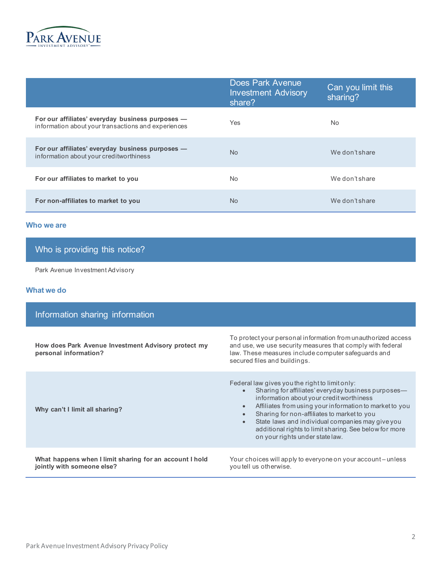

|                                                                                                         | <b>Does Park Avenue</b><br><b>Investment Advisory</b><br>share? | Can you limit this<br>sharing? |
|---------------------------------------------------------------------------------------------------------|-----------------------------------------------------------------|--------------------------------|
| For our affiliates' everyday business purposes -<br>information about your transactions and experiences | Yes                                                             | <b>No</b>                      |
| For our affiliates' everyday business purposes -<br>information about your creditworthiness             | <b>No</b>                                                       | We don't share                 |
| For our affiliates to market to you                                                                     | N <sub>o</sub>                                                  | We don't share                 |
| For non-affiliates to market to you                                                                     | N <sub>o</sub>                                                  | We don't share                 |

#### **Who we are**

## Who is providing this notice?

Park Avenue Investment Advisory

#### **What we do**

| Information sharing information                                                       |                                                                                                                                                                                                                                                                                                                                                                                                                                                                   |  |  |  |
|---------------------------------------------------------------------------------------|-------------------------------------------------------------------------------------------------------------------------------------------------------------------------------------------------------------------------------------------------------------------------------------------------------------------------------------------------------------------------------------------------------------------------------------------------------------------|--|--|--|
| How does Park Avenue Investment Advisory protect my<br>personal information?          | To protect your personal information from unauthorized access<br>and use, we use security measures that comply with federal<br>law. These measures include computer safequards and<br>secured files and buildings.                                                                                                                                                                                                                                                |  |  |  |
| Why can't I limit all sharing?                                                        | Federal law gives you the right to limit only:<br>Sharing for affiliates' every day business purposes—<br>$\bullet$<br>information about your credit worthiness<br>Affiliates from using your information to market to you<br>$\bullet$<br>Sharing for non-affiliates to market to you<br>$\bullet$<br>State laws and individual companies may give you<br>$\bullet$<br>additional rights to limit sharing. See below for more<br>on your rights under state law. |  |  |  |
| What happens when I limit sharing for an account I hold<br>jointly with someone else? | Your choices will apply to everyone on your account-unless<br>you tell us otherwise.                                                                                                                                                                                                                                                                                                                                                                              |  |  |  |